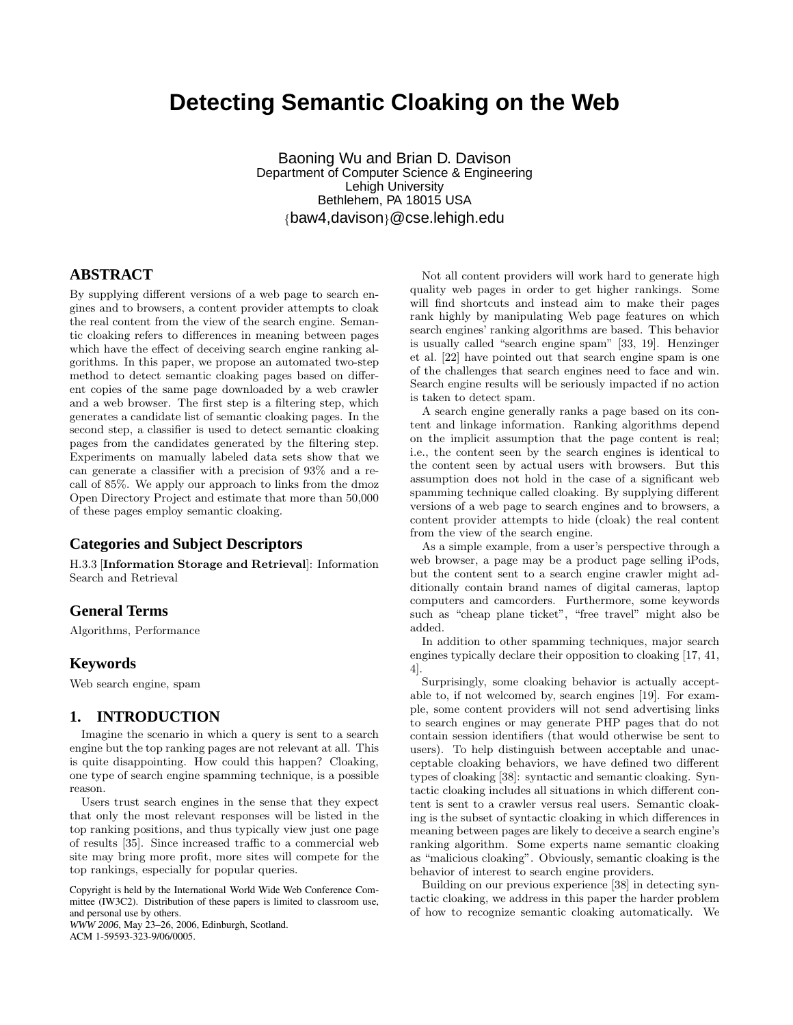# **Detecting Semantic Cloaking on the Web**

Baoning Wu and Brian D. Davison Department of Computer Science & Engineering Lehigh University Bethlehem, PA 18015 USA {baw4,davison}@cse.lehigh.edu

# **ABSTRACT**

By supplying different versions of a web page to search engines and to browsers, a content provider attempts to cloak the real content from the view of the search engine. Semantic cloaking refers to differences in meaning between pages which have the effect of deceiving search engine ranking algorithms. In this paper, we propose an automated two-step method to detect semantic cloaking pages based on different copies of the same page downloaded by a web crawler and a web browser. The first step is a filtering step, which generates a candidate list of semantic cloaking pages. In the second step, a classifier is used to detect semantic cloaking pages from the candidates generated by the filtering step. Experiments on manually labeled data sets show that we can generate a classifier with a precision of 93% and a recall of 85%. We apply our approach to links from the dmoz Open Directory Project and estimate that more than 50,000 of these pages employ semantic cloaking.

# **Categories and Subject Descriptors**

H.3.3 [Information Storage and Retrieval]: Information Search and Retrieval

# **General Terms**

Algorithms, Performance

## **Keywords**

Web search engine, spam

## **1. INTRODUCTION**

Imagine the scenario in which a query is sent to a search engine but the top ranking pages are not relevant at all. This is quite disappointing. How could this happen? Cloaking, one type of search engine spamming technique, is a possible reason.

Users trust search engines in the sense that they expect that only the most relevant responses will be listed in the top ranking positions, and thus typically view just one page of results [35]. Since increased traffic to a commercial web site may bring more profit, more sites will compete for the top rankings, especially for popular queries.

Copyright is held by the International World Wide Web Conference Committee (IW3C2). Distribution of these papers is limited to classroom use, and personal use by others.

*WWW 2006*, May 23–26, 2006, Edinburgh, Scotland. ACM 1-59593-323-9/06/0005.

Not all content providers will work hard to generate high quality web pages in order to get higher rankings. Some will find shortcuts and instead aim to make their pages rank highly by manipulating Web page features on which search engines' ranking algorithms are based. This behavior is usually called "search engine spam" [33, 19]. Henzinger et al. [22] have pointed out that search engine spam is one of the challenges that search engines need to face and win. Search engine results will be seriously impacted if no action is taken to detect spam.

A search engine generally ranks a page based on its content and linkage information. Ranking algorithms depend on the implicit assumption that the page content is real; i.e., the content seen by the search engines is identical to the content seen by actual users with browsers. But this assumption does not hold in the case of a significant web spamming technique called cloaking. By supplying different versions of a web page to search engines and to browsers, a content provider attempts to hide (cloak) the real content from the view of the search engine.

As a simple example, from a user's perspective through a web browser, a page may be a product page selling iPods, but the content sent to a search engine crawler might additionally contain brand names of digital cameras, laptop computers and camcorders. Furthermore, some keywords such as "cheap plane ticket", "free travel" might also be added.

In addition to other spamming techniques, major search engines typically declare their opposition to cloaking [17, 41, 4].

Surprisingly, some cloaking behavior is actually acceptable to, if not welcomed by, search engines [19]. For example, some content providers will not send advertising links to search engines or may generate PHP pages that do not contain session identifiers (that would otherwise be sent to users). To help distinguish between acceptable and unacceptable cloaking behaviors, we have defined two different types of cloaking [38]: syntactic and semantic cloaking. Syntactic cloaking includes all situations in which different content is sent to a crawler versus real users. Semantic cloaking is the subset of syntactic cloaking in which differences in meaning between pages are likely to deceive a search engine's ranking algorithm. Some experts name semantic cloaking as "malicious cloaking". Obviously, semantic cloaking is the behavior of interest to search engine providers.

Building on our previous experience [38] in detecting syntactic cloaking, we address in this paper the harder problem of how to recognize semantic cloaking automatically. We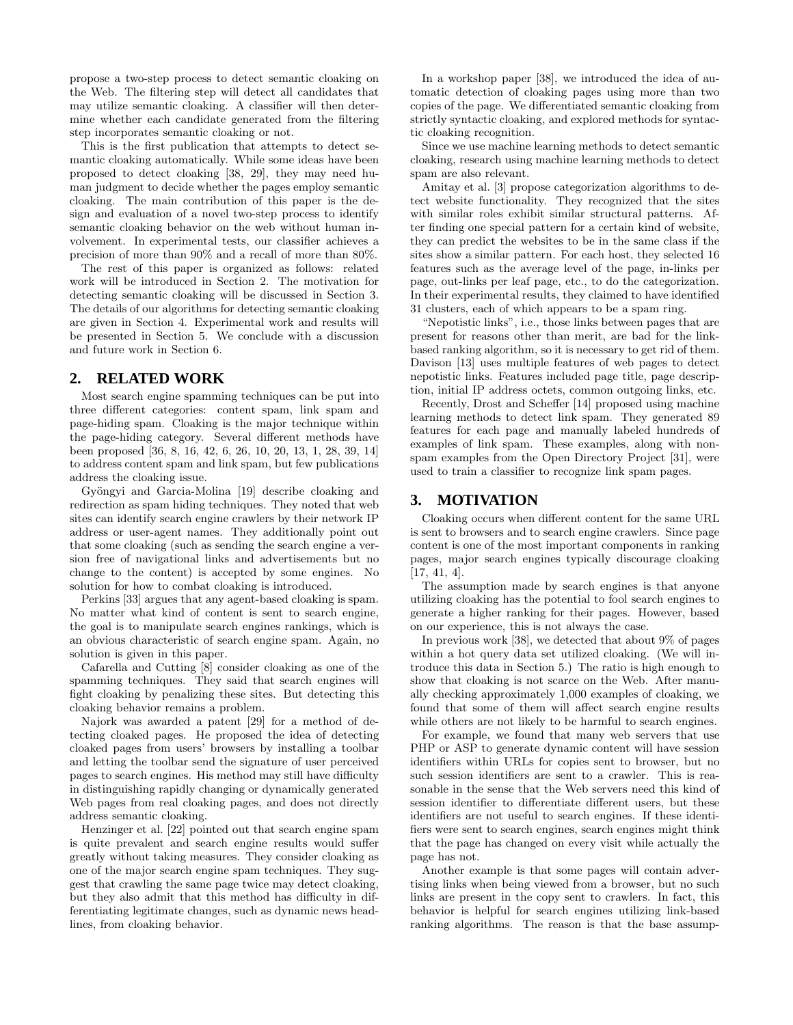propose a two-step process to detect semantic cloaking on the Web. The filtering step will detect all candidates that may utilize semantic cloaking. A classifier will then determine whether each candidate generated from the filtering step incorporates semantic cloaking or not.

This is the first publication that attempts to detect semantic cloaking automatically. While some ideas have been proposed to detect cloaking [38, 29], they may need human judgment to decide whether the pages employ semantic cloaking. The main contribution of this paper is the design and evaluation of a novel two-step process to identify semantic cloaking behavior on the web without human involvement. In experimental tests, our classifier achieves a precision of more than 90% and a recall of more than 80%.

The rest of this paper is organized as follows: related work will be introduced in Section 2. The motivation for detecting semantic cloaking will be discussed in Section 3. The details of our algorithms for detecting semantic cloaking are given in Section 4. Experimental work and results will be presented in Section 5. We conclude with a discussion and future work in Section 6.

## **2. RELATED WORK**

Most search engine spamming techniques can be put into three different categories: content spam, link spam and page-hiding spam. Cloaking is the major technique within the page-hiding category. Several different methods have been proposed [36, 8, 16, 42, 6, 26, 10, 20, 13, 1, 28, 39, 14] to address content spam and link spam, but few publications address the cloaking issue.

Gyöngyi and Garcia-Molina [19] describe cloaking and redirection as spam hiding techniques. They noted that web sites can identify search engine crawlers by their network IP address or user-agent names. They additionally point out that some cloaking (such as sending the search engine a version free of navigational links and advertisements but no change to the content) is accepted by some engines. No solution for how to combat cloaking is introduced.

Perkins [33] argues that any agent-based cloaking is spam. No matter what kind of content is sent to search engine, the goal is to manipulate search engines rankings, which is an obvious characteristic of search engine spam. Again, no solution is given in this paper.

Cafarella and Cutting [8] consider cloaking as one of the spamming techniques. They said that search engines will fight cloaking by penalizing these sites. But detecting this cloaking behavior remains a problem.

Najork was awarded a patent [29] for a method of detecting cloaked pages. He proposed the idea of detecting cloaked pages from users' browsers by installing a toolbar and letting the toolbar send the signature of user perceived pages to search engines. His method may still have difficulty in distinguishing rapidly changing or dynamically generated Web pages from real cloaking pages, and does not directly address semantic cloaking.

Henzinger et al. [22] pointed out that search engine spam is quite prevalent and search engine results would suffer greatly without taking measures. They consider cloaking as one of the major search engine spam techniques. They suggest that crawling the same page twice may detect cloaking, but they also admit that this method has difficulty in differentiating legitimate changes, such as dynamic news headlines, from cloaking behavior.

In a workshop paper [38], we introduced the idea of automatic detection of cloaking pages using more than two copies of the page. We differentiated semantic cloaking from strictly syntactic cloaking, and explored methods for syntactic cloaking recognition.

Since we use machine learning methods to detect semantic cloaking, research using machine learning methods to detect spam are also relevant.

Amitay et al. [3] propose categorization algorithms to detect website functionality. They recognized that the sites with similar roles exhibit similar structural patterns. After finding one special pattern for a certain kind of website, they can predict the websites to be in the same class if the sites show a similar pattern. For each host, they selected 16 features such as the average level of the page, in-links per page, out-links per leaf page, etc., to do the categorization. In their experimental results, they claimed to have identified 31 clusters, each of which appears to be a spam ring.

"Nepotistic links", i.e., those links between pages that are present for reasons other than merit, are bad for the linkbased ranking algorithm, so it is necessary to get rid of them. Davison [13] uses multiple features of web pages to detect nepotistic links. Features included page title, page description, initial IP address octets, common outgoing links, etc.

Recently, Drost and Scheffer [14] proposed using machine learning methods to detect link spam. They generated 89 features for each page and manually labeled hundreds of examples of link spam. These examples, along with nonspam examples from the Open Directory Project [31], were used to train a classifier to recognize link spam pages.

# **3. MOTIVATION**

Cloaking occurs when different content for the same URL is sent to browsers and to search engine crawlers. Since page content is one of the most important components in ranking pages, major search engines typically discourage cloaking [17, 41, 4].

The assumption made by search engines is that anyone utilizing cloaking has the potential to fool search engines to generate a higher ranking for their pages. However, based on our experience, this is not always the case.

In previous work [38], we detected that about 9% of pages within a hot query data set utilized cloaking. (We will introduce this data in Section 5.) The ratio is high enough to show that cloaking is not scarce on the Web. After manually checking approximately 1,000 examples of cloaking, we found that some of them will affect search engine results while others are not likely to be harmful to search engines.

For example, we found that many web servers that use PHP or ASP to generate dynamic content will have session identifiers within URLs for copies sent to browser, but no such session identifiers are sent to a crawler. This is reasonable in the sense that the Web servers need this kind of session identifier to differentiate different users, but these identifiers are not useful to search engines. If these identifiers were sent to search engines, search engines might think that the page has changed on every visit while actually the page has not.

Another example is that some pages will contain advertising links when being viewed from a browser, but no such links are present in the copy sent to crawlers. In fact, this behavior is helpful for search engines utilizing link-based ranking algorithms. The reason is that the base assump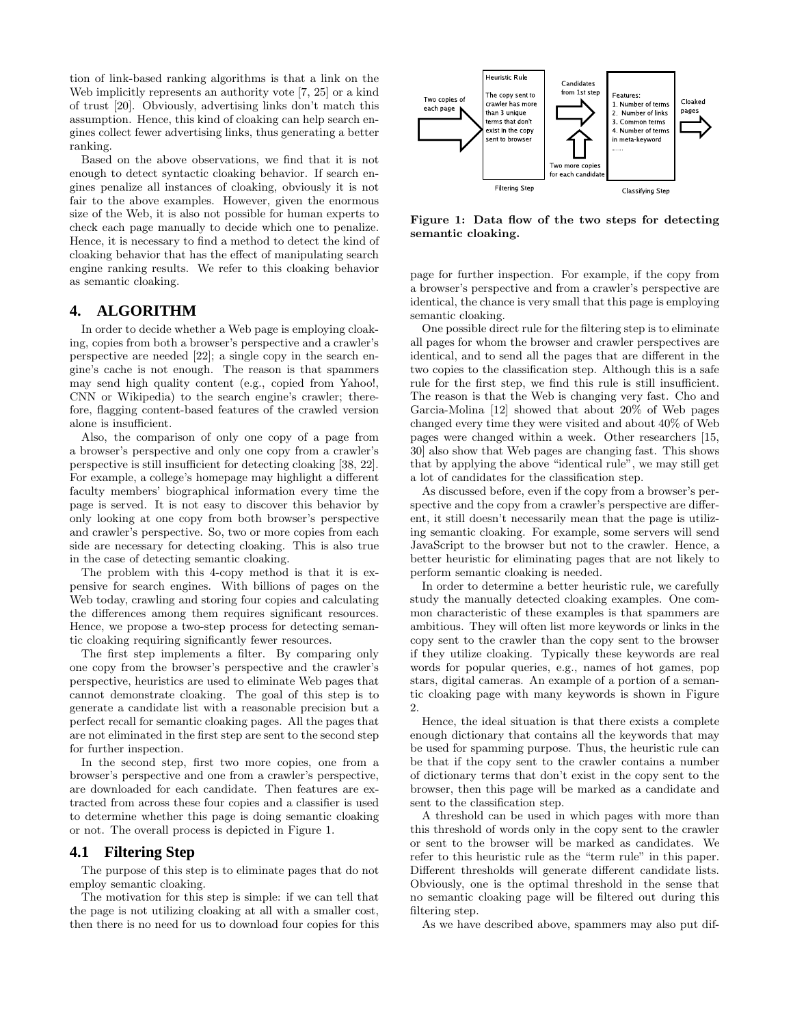tion of link-based ranking algorithms is that a link on the Web implicitly represents an authority vote [7, 25] or a kind of trust [20]. Obviously, advertising links don't match this assumption. Hence, this kind of cloaking can help search engines collect fewer advertising links, thus generating a better ranking.

Based on the above observations, we find that it is not enough to detect syntactic cloaking behavior. If search engines penalize all instances of cloaking, obviously it is not fair to the above examples. However, given the enormous size of the Web, it is also not possible for human experts to check each page manually to decide which one to penalize. Hence, it is necessary to find a method to detect the kind of cloaking behavior that has the effect of manipulating search engine ranking results. We refer to this cloaking behavior as semantic cloaking.

## **4. ALGORITHM**

In order to decide whether a Web page is employing cloaking, copies from both a browser's perspective and a crawler's perspective are needed [22]; a single copy in the search engine's cache is not enough. The reason is that spammers may send high quality content (e.g., copied from Yahoo!, CNN or Wikipedia) to the search engine's crawler; therefore, flagging content-based features of the crawled version alone is insufficient.

Also, the comparison of only one copy of a page from a browser's perspective and only one copy from a crawler's perspective is still insufficient for detecting cloaking [38, 22]. For example, a college's homepage may highlight a different faculty members' biographical information every time the page is served. It is not easy to discover this behavior by only looking at one copy from both browser's perspective and crawler's perspective. So, two or more copies from each side are necessary for detecting cloaking. This is also true in the case of detecting semantic cloaking.

The problem with this 4-copy method is that it is expensive for search engines. With billions of pages on the Web today, crawling and storing four copies and calculating the differences among them requires significant resources. Hence, we propose a two-step process for detecting semantic cloaking requiring significantly fewer resources.

The first step implements a filter. By comparing only one copy from the browser's perspective and the crawler's perspective, heuristics are used to eliminate Web pages that cannot demonstrate cloaking. The goal of this step is to generate a candidate list with a reasonable precision but a perfect recall for semantic cloaking pages. All the pages that are not eliminated in the first step are sent to the second step for further inspection.

In the second step, first two more copies, one from a browser's perspective and one from a crawler's perspective, are downloaded for each candidate. Then features are extracted from across these four copies and a classifier is used to determine whether this page is doing semantic cloaking or not. The overall process is depicted in Figure 1.

## **4.1 Filtering Step**

The purpose of this step is to eliminate pages that do not employ semantic cloaking.

The motivation for this step is simple: if we can tell that the page is not utilizing cloaking at all with a smaller cost, then there is no need for us to download four copies for this



Figure 1: Data flow of the two steps for detecting semantic cloaking.

page for further inspection. For example, if the copy from a browser's perspective and from a crawler's perspective are identical, the chance is very small that this page is employing semantic cloaking.

One possible direct rule for the filtering step is to eliminate all pages for whom the browser and crawler perspectives are identical, and to send all the pages that are different in the two copies to the classification step. Although this is a safe rule for the first step, we find this rule is still insufficient. The reason is that the Web is changing very fast. Cho and Garcia-Molina [12] showed that about 20% of Web pages changed every time they were visited and about 40% of Web pages were changed within a week. Other researchers [15, 30] also show that Web pages are changing fast. This shows that by applying the above "identical rule", we may still get a lot of candidates for the classification step.

As discussed before, even if the copy from a browser's perspective and the copy from a crawler's perspective are different, it still doesn't necessarily mean that the page is utilizing semantic cloaking. For example, some servers will send JavaScript to the browser but not to the crawler. Hence, a better heuristic for eliminating pages that are not likely to perform semantic cloaking is needed.

In order to determine a better heuristic rule, we carefully study the manually detected cloaking examples. One common characteristic of these examples is that spammers are ambitious. They will often list more keywords or links in the copy sent to the crawler than the copy sent to the browser if they utilize cloaking. Typically these keywords are real words for popular queries, e.g., names of hot games, pop stars, digital cameras. An example of a portion of a semantic cloaking page with many keywords is shown in Figure 2.

Hence, the ideal situation is that there exists a complete enough dictionary that contains all the keywords that may be used for spamming purpose. Thus, the heuristic rule can be that if the copy sent to the crawler contains a number of dictionary terms that don't exist in the copy sent to the browser, then this page will be marked as a candidate and sent to the classification step.

A threshold can be used in which pages with more than this threshold of words only in the copy sent to the crawler or sent to the browser will be marked as candidates. We refer to this heuristic rule as the "term rule" in this paper. Different thresholds will generate different candidate lists. Obviously, one is the optimal threshold in the sense that no semantic cloaking page will be filtered out during this filtering step.

As we have described above, spammers may also put dif-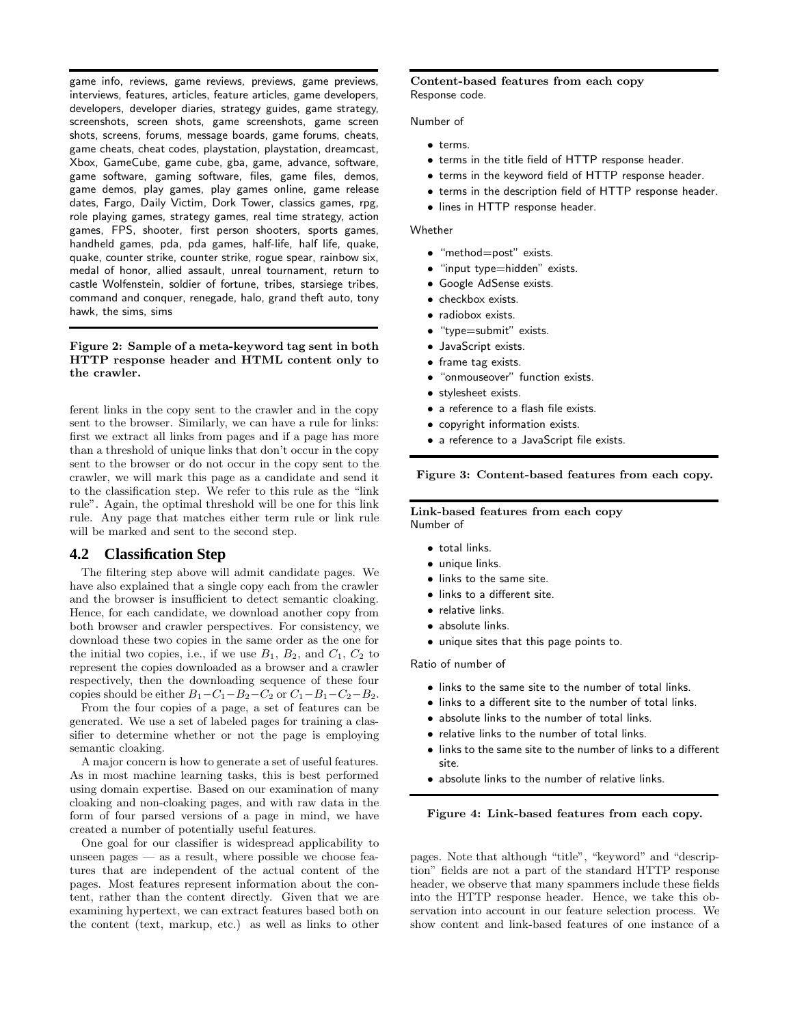game info, reviews, game reviews, previews, game previews, interviews, features, articles, feature articles, game developers, developers, developer diaries, strategy guides, game strategy, screenshots, screen shots, game screenshots, game screen shots, screens, forums, message boards, game forums, cheats, game cheats, cheat codes, playstation, playstation, dreamcast, Xbox, GameCube, game cube, gba, game, advance, software, game software, gaming software, files, game files, demos, game demos, play games, play games online, game release dates, Fargo, Daily Victim, Dork Tower, classics games, rpg, role playing games, strategy games, real time strategy, action games, FPS, shooter, first person shooters, sports games, handheld games, pda, pda games, half-life, half life, quake, quake, counter strike, counter strike, rogue spear, rainbow six, medal of honor, allied assault, unreal tournament, return to castle Wolfenstein, soldier of fortune, tribes, starsiege tribes, command and conquer, renegade, halo, grand theft auto, tony hawk, the sims, sims

#### Figure 2: Sample of a meta-keyword tag sent in both HTTP response header and HTML content only to the crawler.

ferent links in the copy sent to the crawler and in the copy sent to the browser. Similarly, we can have a rule for links: first we extract all links from pages and if a page has more than a threshold of unique links that don't occur in the copy sent to the browser or do not occur in the copy sent to the crawler, we will mark this page as a candidate and send it to the classification step. We refer to this rule as the "link rule". Again, the optimal threshold will be one for this link rule. Any page that matches either term rule or link rule will be marked and sent to the second step.

## **4.2 Classification Step**

The filtering step above will admit candidate pages. We have also explained that a single copy each from the crawler and the browser is insufficient to detect semantic cloaking. Hence, for each candidate, we download another copy from both browser and crawler perspectives. For consistency, we download these two copies in the same order as the one for the initial two copies, i.e., if we use  $B_1$ ,  $B_2$ , and  $C_1$ ,  $C_2$  to represent the copies downloaded as a browser and a crawler respectively, then the downloading sequence of these four copies should be either  $B_1-C_1-B_2-C_2$  or  $C_1-B_1-C_2-B_2$ .

From the four copies of a page, a set of features can be generated. We use a set of labeled pages for training a classifier to determine whether or not the page is employing semantic cloaking.

A major concern is how to generate a set of useful features. As in most machine learning tasks, this is best performed using domain expertise. Based on our examination of many cloaking and non-cloaking pages, and with raw data in the form of four parsed versions of a page in mind, we have created a number of potentially useful features.

One goal for our classifier is widespread applicability to unseen  $\beta$  pages  $\alpha$  as a result, where possible we choose features that are independent of the actual content of the pages. Most features represent information about the content, rather than the content directly. Given that we are examining hypertext, we can extract features based both on the content (text, markup, etc.) as well as links to other

Content-based features from each copy Response code.

#### Number of

- terms.
- terms in the title field of HTTP response header.
- terms in the keyword field of HTTP response header.
- terms in the description field of HTTP response header.
- lines in HTTP response header.

#### Whether

- "method=post" exists.
- "input type=hidden" exists.
- Google AdSense exists.
- checkbox exists.
- radiobox exists.
- "type=submit" exists.
- JavaScript exists.
- frame tag exists.
- "onmouseover" function exists.
- stylesheet exists.
- a reference to a flash file exists.
- copyright information exists.
- a reference to a JavaScript file exists.

Figure 3: Content-based features from each copy.

#### Link-based features from each copy Number of

- total links.
- unique links.
- links to the same site.
- links to a different site.
- relative links.
- absolute links.
- unique sites that this page points to.

Ratio of number of

- links to the same site to the number of total links.
- links to a different site to the number of total links.
- absolute links to the number of total links.
- relative links to the number of total links.
- links to the same site to the number of links to a different site.
- absolute links to the number of relative links.

#### Figure 4: Link-based features from each copy.

pages. Note that although "title", "keyword" and "description" fields are not a part of the standard HTTP response header, we observe that many spammers include these fields into the HTTP response header. Hence, we take this observation into account in our feature selection process. We show content and link-based features of one instance of a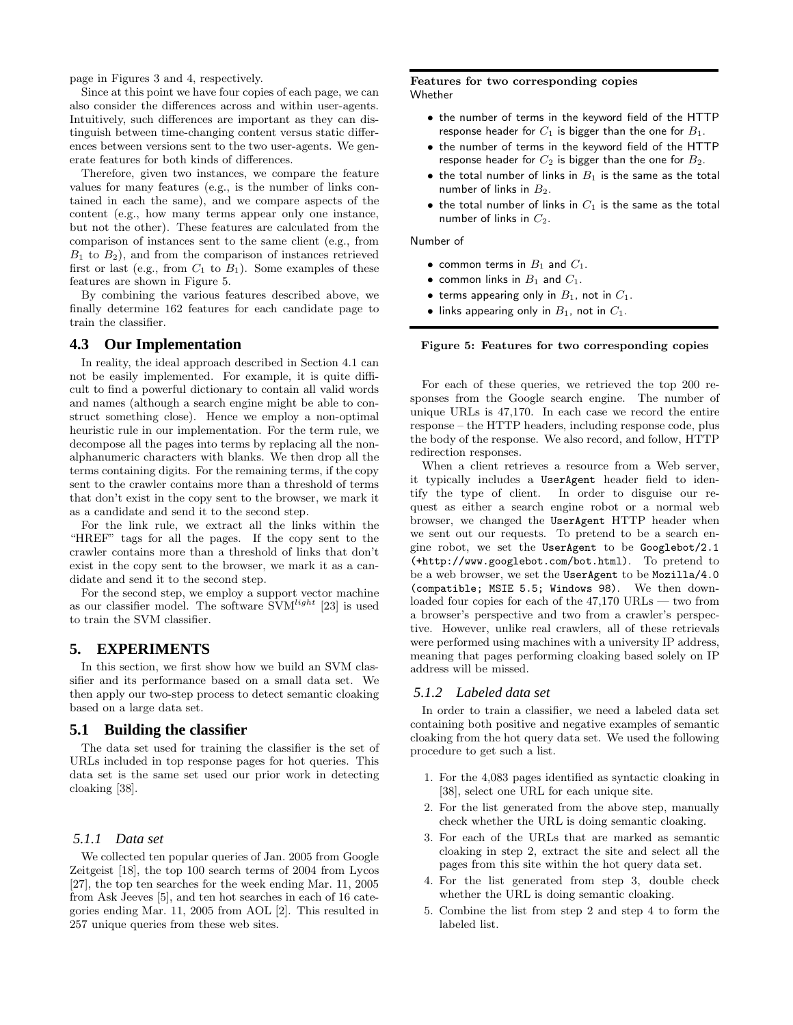page in Figures 3 and 4, respectively.

Since at this point we have four copies of each page, we can also consider the differences across and within user-agents. Intuitively, such differences are important as they can distinguish between time-changing content versus static differences between versions sent to the two user-agents. We generate features for both kinds of differences.

Therefore, given two instances, we compare the feature values for many features (e.g., is the number of links contained in each the same), and we compare aspects of the content (e.g., how many terms appear only one instance, but not the other). These features are calculated from the comparison of instances sent to the same client (e.g., from  $B_1$  to  $B_2$ ), and from the comparison of instances retrieved first or last (e.g., from  $C_1$  to  $B_1$ ). Some examples of these features are shown in Figure 5.

By combining the various features described above, we finally determine 162 features for each candidate page to train the classifier.

## **4.3 Our Implementation**

In reality, the ideal approach described in Section 4.1 can not be easily implemented. For example, it is quite difficult to find a powerful dictionary to contain all valid words and names (although a search engine might be able to construct something close). Hence we employ a non-optimal heuristic rule in our implementation. For the term rule, we decompose all the pages into terms by replacing all the nonalphanumeric characters with blanks. We then drop all the terms containing digits. For the remaining terms, if the copy sent to the crawler contains more than a threshold of terms that don't exist in the copy sent to the browser, we mark it as a candidate and send it to the second step.

For the link rule, we extract all the links within the "HREF" tags for all the pages. If the copy sent to the crawler contains more than a threshold of links that don't exist in the copy sent to the browser, we mark it as a candidate and send it to the second step.

For the second step, we employ a support vector machine as our classifier model. The software  $\text{SVM}^{light}$  [23] is used to train the SVM classifier.

## **5. EXPERIMENTS**

In this section, we first show how we build an SVM classifier and its performance based on a small data set. We then apply our two-step process to detect semantic cloaking based on a large data set.

#### **5.1 Building the classifier**

The data set used for training the classifier is the set of URLs included in top response pages for hot queries. This data set is the same set used our prior work in detecting cloaking [38].

## *5.1.1 Data set*

We collected ten popular queries of Jan. 2005 from Google Zeitgeist [18], the top 100 search terms of 2004 from Lycos [27], the top ten searches for the week ending Mar. 11, 2005 from Ask Jeeves [5], and ten hot searches in each of 16 categories ending Mar. 11, 2005 from AOL [2]. This resulted in 257 unique queries from these web sites.

#### Features for two corresponding copies Whether

- the number of terms in the keyword field of the HTTP response header for  $C_1$  is bigger than the one for  $B_1$ .
- the number of terms in the keyword field of the HTTP response header for  $C_2$  is bigger than the one for  $B_2$ .
- the total number of links in  $B_1$  is the same as the total number of links in  $B_2$ .
- the total number of links in  $C_1$  is the same as the total number of links in  $C_2$ .

Number of

- common terms in  $B_1$  and  $C_1$ .
- common links in  $B_1$  and  $C_1$ .
- terms appearing only in  $B_1$ , not in  $C_1$ .
- links appearing only in  $B_1$ , not in  $C_1$ .

#### Figure 5: Features for two corresponding copies

For each of these queries, we retrieved the top 200 responses from the Google search engine. The number of unique URLs is 47,170. In each case we record the entire response – the HTTP headers, including response code, plus the body of the response. We also record, and follow, HTTP redirection responses.

When a client retrieves a resource from a Web server, it typically includes a UserAgent header field to identify the type of client. In order to disguise our re-In order to disguise our request as either a search engine robot or a normal web browser, we changed the UserAgent HTTP header when we sent out our requests. To pretend to be a search engine robot, we set the UserAgent to be Googlebot/2.1 (+http://www.googlebot.com/bot.html). To pretend to be a web browser, we set the UserAgent to be Mozilla/4.0 (compatible; MSIE 5.5; Windows 98). We then downloaded four copies for each of the 47,170 URLs — two from a browser's perspective and two from a crawler's perspective. However, unlike real crawlers, all of these retrievals were performed using machines with a university IP address, meaning that pages performing cloaking based solely on IP address will be missed.

## *5.1.2 Labeled data set*

In order to train a classifier, we need a labeled data set containing both positive and negative examples of semantic cloaking from the hot query data set. We used the following procedure to get such a list.

- 1. For the 4,083 pages identified as syntactic cloaking in [38], select one URL for each unique site.
- 2. For the list generated from the above step, manually check whether the URL is doing semantic cloaking.
- 3. For each of the URLs that are marked as semantic cloaking in step 2, extract the site and select all the pages from this site within the hot query data set.
- 4. For the list generated from step 3, double check whether the URL is doing semantic cloaking.
- 5. Combine the list from step 2 and step 4 to form the labeled list.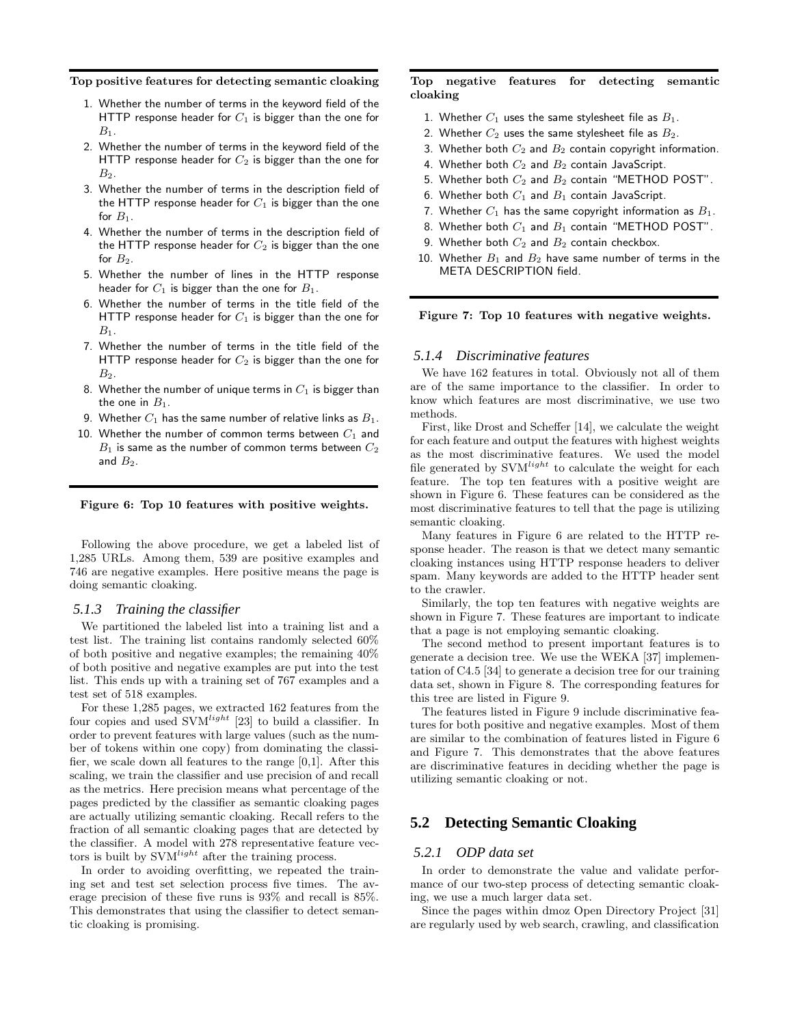#### Top positive features for detecting semantic cloaking

- 1. Whether the number of terms in the keyword field of the HTTP response header for  $C_1$  is bigger than the one for  $B_1$ .
- 2. Whether the number of terms in the keyword field of the HTTP response header for  $C_2$  is bigger than the one for  $B<sub>2</sub>$ .
- 3. Whether the number of terms in the description field of the HTTP response header for  $C_1$  is bigger than the one for  $B_1$ .
- 4. Whether the number of terms in the description field of the HTTP response header for  $C_2$  is bigger than the one for  $B_2$ .
- 5. Whether the number of lines in the HTTP response header for  $C_1$  is bigger than the one for  $B_1$ .
- 6. Whether the number of terms in the title field of the HTTP response header for  $C_1$  is bigger than the one for  $B_1$ .
- 7. Whether the number of terms in the title field of the HTTP response header for  $C_2$  is bigger than the one for  $B<sub>2</sub>$ .
- 8. Whether the number of unique terms in  $C_1$  is bigger than the one in  $B_1$ .
- 9. Whether  $C_1$  has the same number of relative links as  $B_1$ .
- 10. Whether the number of common terms between  $C_1$  and  $B_1$  is same as the number of common terms between  $C_2$ and  $B_2$ .

#### Figure 6: Top 10 features with positive weights.

Following the above procedure, we get a labeled list of 1,285 URLs. Among them, 539 are positive examples and 746 are negative examples. Here positive means the page is doing semantic cloaking.

#### *5.1.3 Training the classifier*

We partitioned the labeled list into a training list and a test list. The training list contains randomly selected 60% of both positive and negative examples; the remaining 40% of both positive and negative examples are put into the test list. This ends up with a training set of 767 examples and a test set of 518 examples.

For these 1,285 pages, we extracted 162 features from the four copies and used  $\text{SVM}^{light}$  [23] to build a classifier. In order to prevent features with large values (such as the number of tokens within one copy) from dominating the classifier, we scale down all features to the range [0,1]. After this scaling, we train the classifier and use precision of and recall as the metrics. Here precision means what percentage of the pages predicted by the classifier as semantic cloaking pages are actually utilizing semantic cloaking. Recall refers to the fraction of all semantic cloaking pages that are detected by the classifier. A model with 278 representative feature vectors is built by  $\text{SVM}^{light}$  after the training process.

In order to avoiding overfitting, we repeated the training set and test set selection process five times. The average precision of these five runs is 93% and recall is 85%. This demonstrates that using the classifier to detect semantic cloaking is promising.

#### Top negative features for detecting semantic cloaking

- 1. Whether  $C_1$  uses the same stylesheet file as  $B_1$ .
- 2. Whether  $C_2$  uses the same stylesheet file as  $B_2$ .
- 3. Whether both  $C_2$  and  $B_2$  contain copyright information.
- 4. Whether both  $C_2$  and  $B_2$  contain JavaScript.
- 5. Whether both  $C_2$  and  $B_2$  contain "METHOD POST".
- 6. Whether both  $C_1$  and  $B_1$  contain JavaScript.
- 7. Whether  $C_1$  has the same copyright information as  $B_1$ .
- 8. Whether both  $C_1$  and  $B_1$  contain "METHOD POST".
- 9. Whether both  $C_2$  and  $B_2$  contain checkbox.
- 10. Whether  $B_1$  and  $B_2$  have same number of terms in the META DESCRIPTION field.

Figure 7: Top 10 features with negative weights.

#### *5.1.4 Discriminative features*

We have 162 features in total. Obviously not all of them are of the same importance to the classifier. In order to know which features are most discriminative, we use two methods.

First, like Drost and Scheffer [14], we calculate the weight for each feature and output the features with highest weights as the most discriminative features. We used the model file generated by  $SVM^{light}$  to calculate the weight for each feature. The top ten features with a positive weight are shown in Figure 6. These features can be considered as the most discriminative features to tell that the page is utilizing semantic cloaking.

Many features in Figure 6 are related to the HTTP response header. The reason is that we detect many semantic cloaking instances using HTTP response headers to deliver spam. Many keywords are added to the HTTP header sent to the crawler.

Similarly, the top ten features with negative weights are shown in Figure 7. These features are important to indicate that a page is not employing semantic cloaking.

The second method to present important features is to generate a decision tree. We use the WEKA [37] implementation of C4.5 [34] to generate a decision tree for our training data set, shown in Figure 8. The corresponding features for this tree are listed in Figure 9.

The features listed in Figure 9 include discriminative features for both positive and negative examples. Most of them are similar to the combination of features listed in Figure 6 and Figure 7. This demonstrates that the above features are discriminative features in deciding whether the page is utilizing semantic cloaking or not.

## **5.2 Detecting Semantic Cloaking**

#### *5.2.1 ODP data set*

In order to demonstrate the value and validate performance of our two-step process of detecting semantic cloaking, we use a much larger data set.

Since the pages within dmoz Open Directory Project [31] are regularly used by web search, crawling, and classification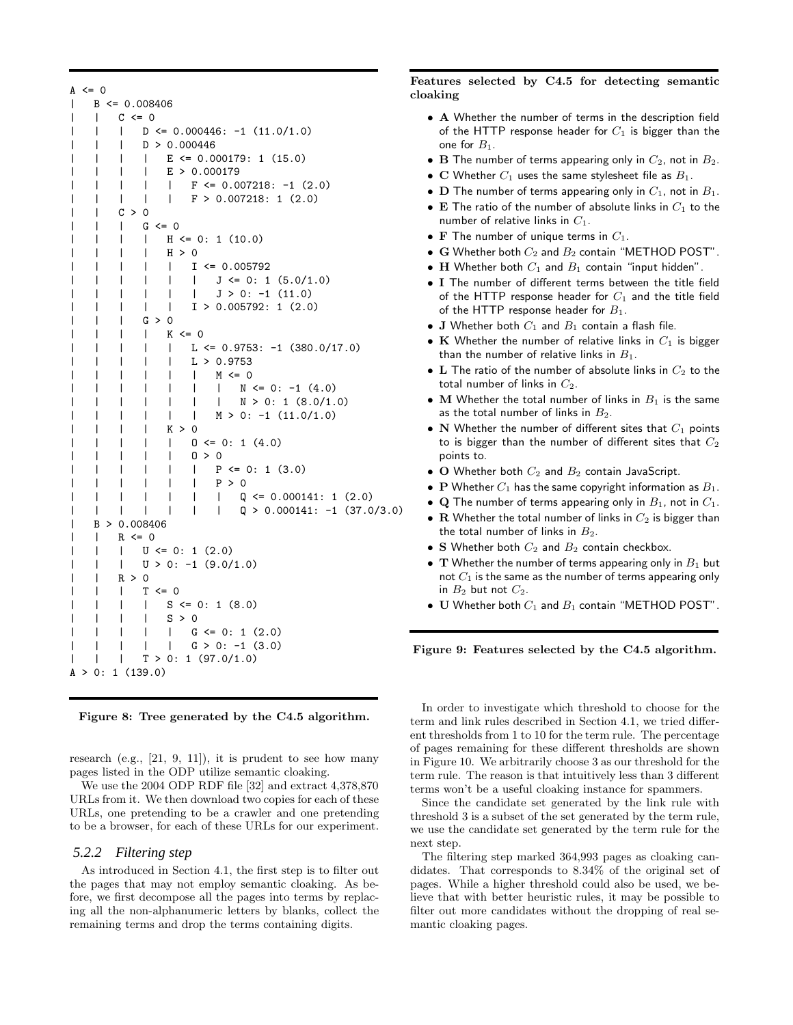```
A \leq 0| B <= 0.008406
| | C <= 0
| | | D <= 0.000446: -1 (11.0/1.0)
| | | D > 0.000446
| | | | E <= 0.000179: 1 (15.0)
| | | | E > 0.000179
| | | | | F <= 0.007218: -1 (2.0)
| | | | | F > 0.007218: 1 (2.0)
| | C > 0
| | | G <= 0
| | | | H <= 0: 1 (10.0)
| | | | H > 0
| | | | | I <= 0.005792
| | | | | | J <= 0: 1 (5.0/1.0)
| | | | | | J > 0: -1 (11.0)
| | | | | I > 0.005792: 1 (2.0)
| | | G > 0
| | | | K <= 0
| | | | | L <= 0.9753: -1 (380.0/17.0)
| | | | | L > 0.9753
| | | | | | M <= 0
| | | | | | | N <= 0: -1 (4.0)
| | | | | | | N > 0: 1 (8.0/1.0)
| | | | | | M > 0: -1 (11.0/1.0)
| | | | K > 0
| | | | | O <= 0: 1 (4.0)
| | | | | O > 0
| | | | | | P <= 0: 1 (3.0)
| | | | | | P > 0
| | | | | | | Q <= 0.000141: 1 (2.0)
| | | | | | | | | q > 0.000141: -1(37.0/3.0)| B > 0.008406
| | R \leq 0
| | | U \leq 0: 1 (2.0)
| | | U > 0: -1 (9.0/1.0)
| | R > 0
| | | T <= 0
| | | | S <= 0: 1 (8.0)
| | | | S > 0
| | | | | G <= 0: 1 (2.0)
| | | | | G > 0: -1 (3.0)
   | | T > 0: 1 (97.0/1.0)
A > 0: 1 (139.0)
```
Figure 8: Tree generated by the C4.5 algorithm.

research  $(e.g., [21, 9, 11]),$  it is prudent to see how many pages listed in the ODP utilize semantic cloaking.

We use the 2004 ODP RDF file [32] and extract 4,378,870 URLs from it. We then download two copies for each of these URLs, one pretending to be a crawler and one pretending to be a browser, for each of these URLs for our experiment.

## *5.2.2 Filtering step*

As introduced in Section 4.1, the first step is to filter out the pages that may not employ semantic cloaking. As before, we first decompose all the pages into terms by replacing all the non-alphanumeric letters by blanks, collect the remaining terms and drop the terms containing digits.

Features selected by C4.5 for detecting semantic cloaking

- A Whether the number of terms in the description field of the HTTP response header for  $C_1$  is bigger than the one for  $B_1$ .
- B The number of terms appearing only in  $C_2$ , not in  $B_2$ .
- C Whether  $C_1$  uses the same stylesheet file as  $B_1$ .
- D The number of terms appearing only in  $C_1$ , not in  $B_1$ .
- $\bullet$  E The ratio of the number of absolute links in  $C_1$  to the number of relative links in  $C_1$ .
- F The number of unique terms in  $C_1$ .
- $\bullet$  G Whether both  $C_2$  and  $B_2$  contain "METHOD POST".
- H Whether both  $C_1$  and  $B_1$  contain "input hidden".
- I The number of different terms between the title field of the HTTP response header for  $C_1$  and the title field of the HTTP response header for  $B_1$ .
- J Whether both  $C_1$  and  $B_1$  contain a flash file.
- K Whether the number of relative links in  $C_1$  is bigger than the number of relative links in  $B_1$ .
- L The ratio of the number of absolute links in  $C_2$  to the total number of links in  $C_2$ .
- M Whether the total number of links in  $B_1$  is the same as the total number of links in  $B_2$ .
- N Whether the number of different sites that  $C_1$  points to is bigger than the number of different sites that  $C_2$ points to.
- O Whether both  $C_2$  and  $B_2$  contain JavaScript.
- $\bullet\; {\bf P}$  Whether  $C_1$  has the same copyright information as  $B_1.$
- Q The number of terms appearing only in  $B_1$ , not in  $C_1$ .
- R Whether the total number of links in  $C_2$  is bigger than the total number of links in  $B_2$ .
- S Whether both  $C_2$  and  $B_2$  contain checkbox.
- T Whether the number of terms appearing only in  $B_1$  but not  $C_1$  is the same as the number of terms appearing only in  $B_2$  but not  $C_2$ .
- $\bullet$  U Whether both  $C_1$  and  $B_1$  contain "METHOD POST".

Figure 9: Features selected by the C4.5 algorithm.

In order to investigate which threshold to choose for the term and link rules described in Section 4.1, we tried different thresholds from 1 to 10 for the term rule. The percentage of pages remaining for these different thresholds are shown in Figure 10. We arbitrarily choose 3 as our threshold for the term rule. The reason is that intuitively less than 3 different terms won't be a useful cloaking instance for spammers.

Since the candidate set generated by the link rule with threshold 3 is a subset of the set generated by the term rule, we use the candidate set generated by the term rule for the next step.

The filtering step marked 364,993 pages as cloaking candidates. That corresponds to 8.34% of the original set of pages. While a higher threshold could also be used, we believe that with better heuristic rules, it may be possible to filter out more candidates without the dropping of real semantic cloaking pages.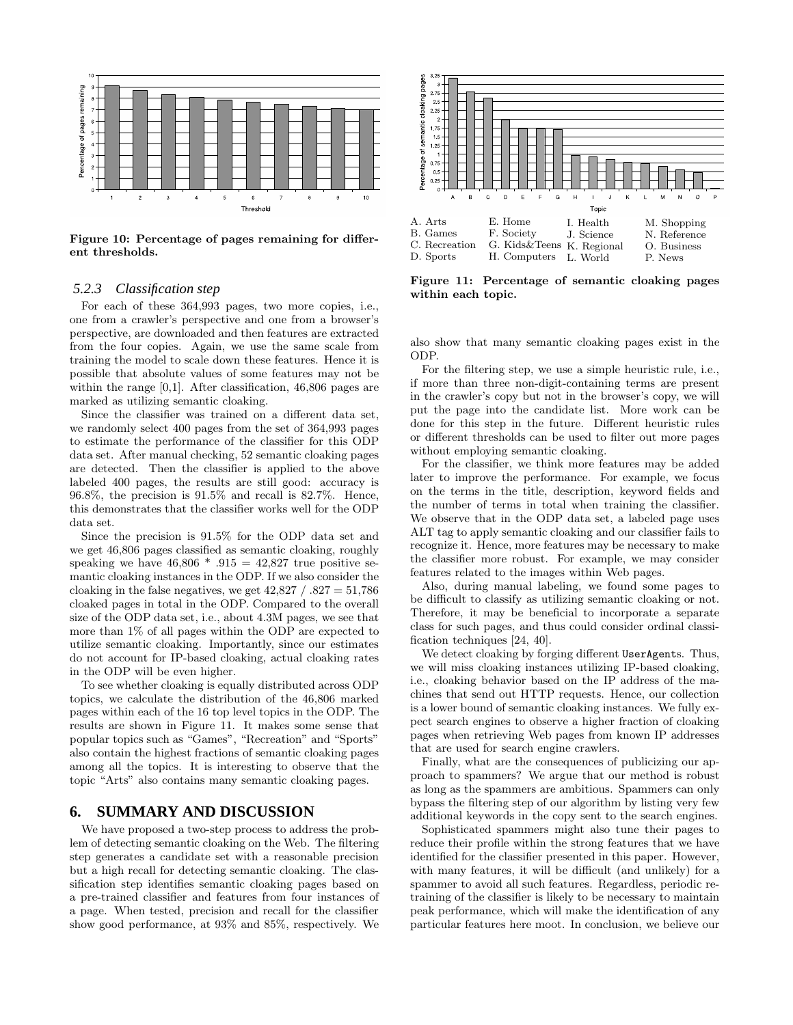

Figure 10: Percentage of pages remaining for different thresholds.

### *5.2.3 Classification step*

For each of these 364,993 pages, two more copies, i.e., one from a crawler's perspective and one from a browser's perspective, are downloaded and then features are extracted from the four copies. Again, we use the same scale from training the model to scale down these features. Hence it is possible that absolute values of some features may not be within the range [0,1]. After classification, 46,806 pages are marked as utilizing semantic cloaking.

Since the classifier was trained on a different data set, we randomly select 400 pages from the set of 364,993 pages to estimate the performance of the classifier for this ODP data set. After manual checking, 52 semantic cloaking pages are detected. Then the classifier is applied to the above labeled 400 pages, the results are still good: accuracy is 96.8%, the precision is 91.5% and recall is 82.7%. Hence, this demonstrates that the classifier works well for the ODP data set.

Since the precision is 91.5% for the ODP data set and we get 46,806 pages classified as semantic cloaking, roughly speaking we have  $46,806 * .915 = 42,827$  true positive semantic cloaking instances in the ODP. If we also consider the cloaking in the false negatives, we get  $42,827 / .827 = 51,786$ cloaked pages in total in the ODP. Compared to the overall size of the ODP data set, i.e., about 4.3M pages, we see that more than 1% of all pages within the ODP are expected to utilize semantic cloaking. Importantly, since our estimates do not account for IP-based cloaking, actual cloaking rates in the ODP will be even higher.

To see whether cloaking is equally distributed across ODP topics, we calculate the distribution of the 46,806 marked pages within each of the 16 top level topics in the ODP. The results are shown in Figure 11. It makes some sense that popular topics such as "Games", "Recreation" and "Sports" also contain the highest fractions of semantic cloaking pages among all the topics. It is interesting to observe that the topic "Arts" also contains many semantic cloaking pages.

## **6. SUMMARY AND DISCUSSION**

We have proposed a two-step process to address the problem of detecting semantic cloaking on the Web. The filtering step generates a candidate set with a reasonable precision but a high recall for detecting semantic cloaking. The classification step identifies semantic cloaking pages based on a pre-trained classifier and features from four instances of a page. When tested, precision and recall for the classifier show good performance, at 93% and 85%, respectively. We



Figure 11: Percentage of semantic cloaking pages within each topic.

also show that many semantic cloaking pages exist in the ODP.

For the filtering step, we use a simple heuristic rule, i.e., if more than three non-digit-containing terms are present in the crawler's copy but not in the browser's copy, we will put the page into the candidate list. More work can be done for this step in the future. Different heuristic rules or different thresholds can be used to filter out more pages without employing semantic cloaking.

For the classifier, we think more features may be added later to improve the performance. For example, we focus on the terms in the title, description, keyword fields and the number of terms in total when training the classifier. We observe that in the ODP data set, a labeled page uses ALT tag to apply semantic cloaking and our classifier fails to recognize it. Hence, more features may be necessary to make the classifier more robust. For example, we may consider features related to the images within Web pages.

Also, during manual labeling, we found some pages to be difficult to classify as utilizing semantic cloaking or not. Therefore, it may be beneficial to incorporate a separate class for such pages, and thus could consider ordinal classification techniques [24, 40].

We detect cloaking by forging different UserAgents. Thus, we will miss cloaking instances utilizing IP-based cloaking, i.e., cloaking behavior based on the IP address of the machines that send out HTTP requests. Hence, our collection is a lower bound of semantic cloaking instances. We fully expect search engines to observe a higher fraction of cloaking pages when retrieving Web pages from known IP addresses that are used for search engine crawlers.

Finally, what are the consequences of publicizing our approach to spammers? We argue that our method is robust as long as the spammers are ambitious. Spammers can only bypass the filtering step of our algorithm by listing very few additional keywords in the copy sent to the search engines.

Sophisticated spammers might also tune their pages to reduce their profile within the strong features that we have identified for the classifier presented in this paper. However, with many features, it will be difficult (and unlikely) for a spammer to avoid all such features. Regardless, periodic retraining of the classifier is likely to be necessary to maintain peak performance, which will make the identification of any particular features here moot. In conclusion, we believe our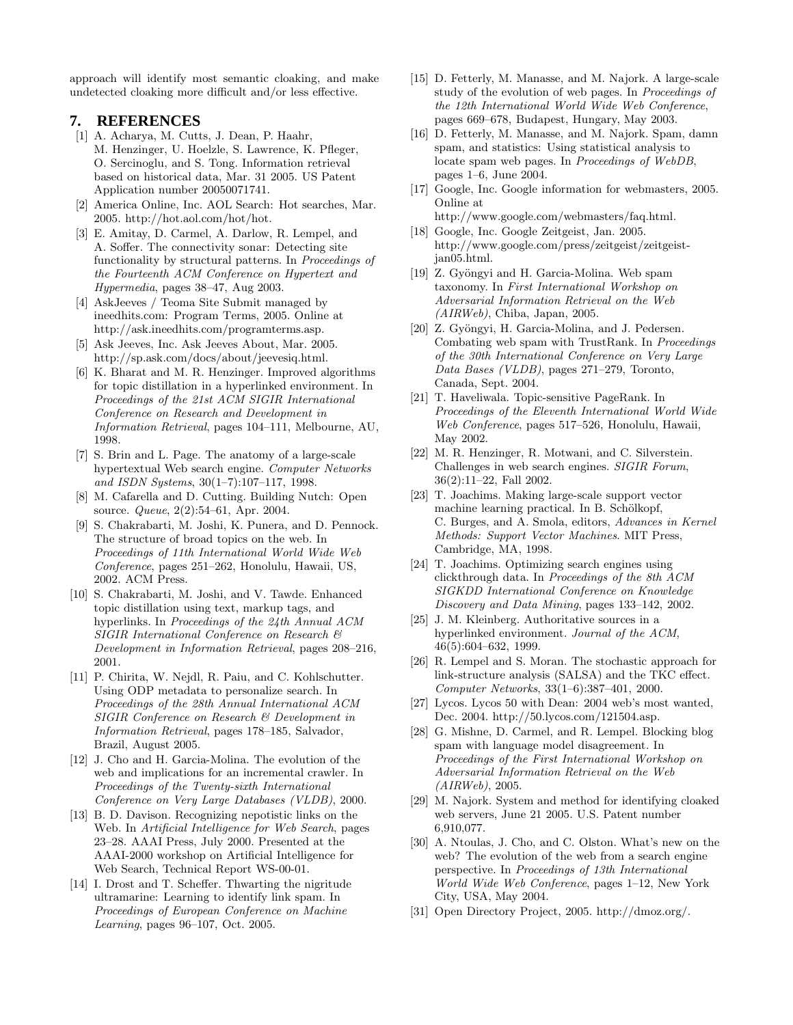approach will identify most semantic cloaking, and make undetected cloaking more difficult and/or less effective.

# **7. REFERENCES**

- [1] A. Acharya, M. Cutts, J. Dean, P. Haahr, M. Henzinger, U. Hoelzle, S. Lawrence, K. Pfleger, O. Sercinoglu, and S. Tong. Information retrieval based on historical data, Mar. 31 2005. US Patent Application number 20050071741.
- [2] America Online, Inc. AOL Search: Hot searches, Mar. 2005. http://hot.aol.com/hot/hot.
- [3] E. Amitay, D. Carmel, A. Darlow, R. Lempel, and A. Soffer. The connectivity sonar: Detecting site functionality by structural patterns. In Proceedings of the Fourteenth ACM Conference on Hypertext and Hypermedia, pages 38–47, Aug 2003.
- [4] AskJeeves / Teoma Site Submit managed by ineedhits.com: Program Terms, 2005. Online at http://ask.ineedhits.com/programterms.asp.
- [5] Ask Jeeves, Inc. Ask Jeeves About, Mar. 2005. http://sp.ask.com/docs/about/jeevesiq.html.
- [6] K. Bharat and M. R. Henzinger. Improved algorithms for topic distillation in a hyperlinked environment. In Proceedings of the 21st ACM SIGIR International Conference on Research and Development in Information Retrieval, pages 104–111, Melbourne, AU, 1998.
- [7] S. Brin and L. Page. The anatomy of a large-scale hypertextual Web search engine. Computer Networks and ISDN Systems, 30(1–7):107–117, 1998.
- [8] M. Cafarella and D. Cutting. Building Nutch: Open source. Queue, 2(2):54–61, Apr. 2004.
- [9] S. Chakrabarti, M. Joshi, K. Punera, and D. Pennock. The structure of broad topics on the web. In Proceedings of 11th International World Wide Web Conference, pages 251–262, Honolulu, Hawaii, US, 2002. ACM Press.
- [10] S. Chakrabarti, M. Joshi, and V. Tawde. Enhanced topic distillation using text, markup tags, and hyperlinks. In Proceedings of the 24th Annual ACM SIGIR International Conference on Research & Development in Information Retrieval, pages 208–216, 2001.
- [11] P. Chirita, W. Nejdl, R. Paiu, and C. Kohlschutter. Using ODP metadata to personalize search. In Proceedings of the 28th Annual International ACM SIGIR Conference on Research & Development in Information Retrieval, pages 178–185, Salvador, Brazil, August 2005.
- [12] J. Cho and H. Garcia-Molina. The evolution of the web and implications for an incremental crawler. In Proceedings of the Twenty-sixth International Conference on Very Large Databases (VLDB), 2000.
- [13] B. D. Davison. Recognizing nepotistic links on the Web. In Artificial Intelligence for Web Search, pages 23–28. AAAI Press, July 2000. Presented at the AAAI-2000 workshop on Artificial Intelligence for Web Search, Technical Report WS-00-01.
- [14] I. Drost and T. Scheffer. Thwarting the nigritude ultramarine: Learning to identify link spam. In Proceedings of European Conference on Machine Learning, pages 96–107, Oct. 2005.
- [15] D. Fetterly, M. Manasse, and M. Najork. A large-scale study of the evolution of web pages. In Proceedings of the 12th International World Wide Web Conference, pages 669–678, Budapest, Hungary, May 2003.
- [16] D. Fetterly, M. Manasse, and M. Najork. Spam, damn spam, and statistics: Using statistical analysis to locate spam web pages. In Proceedings of WebDB, pages 1–6, June 2004.
- [17] Google, Inc. Google information for webmasters, 2005. Online at http://www.google.com/webmasters/faq.html.
- [18] Google, Inc. Google Zeitgeist, Jan. 2005. http://www.google.com/press/zeitgeist/zeitgeistjan05.html.
- [19] Z. Gyöngyi and H. Garcia-Molina. Web spam taxonomy. In First International Workshop on Adversarial Information Retrieval on the Web  $(AIRWeb)$ , Chiba, Japan, 2005.
- [20] Z. Gyöngyi, H. Garcia-Molina, and J. Pedersen. Combating web spam with TrustRank. In Proceedings of the 30th International Conference on Very Large Data Bases (VLDB), pages 271–279, Toronto, Canada, Sept. 2004.
- [21] T. Haveliwala. Topic-sensitive PageRank. In Proceedings of the Eleventh International World Wide Web Conference, pages 517–526, Honolulu, Hawaii, May 2002.
- [22] M. R. Henzinger, R. Motwani, and C. Silverstein. Challenges in web search engines. SIGIR Forum, 36(2):11–22, Fall 2002.
- [23] T. Joachims. Making large-scale support vector machine learning practical. In B. Schölkopf, C. Burges, and A. Smola, editors, Advances in Kernel Methods: Support Vector Machines. MIT Press, Cambridge, MA, 1998.
- [24] T. Joachims. Optimizing search engines using clickthrough data. In Proceedings of the 8th ACM SIGKDD International Conference on Knowledge Discovery and Data Mining, pages 133–142, 2002.
- [25] J. M. Kleinberg. Authoritative sources in a hyperlinked environment. Journal of the ACM, 46(5):604–632, 1999.
- [26] R. Lempel and S. Moran. The stochastic approach for link-structure analysis (SALSA) and the TKC effect. Computer Networks, 33(1–6):387–401, 2000.
- [27] Lycos. Lycos 50 with Dean: 2004 web's most wanted, Dec. 2004. http://50.lycos.com/121504.asp.
- [28] G. Mishne, D. Carmel, and R. Lempel. Blocking blog spam with language model disagreement. In Proceedings of the First International Workshop on Adversarial Information Retrieval on the Web (AIRWeb), 2005.
- [29] M. Najork. System and method for identifying cloaked web servers, June 21 2005. U.S. Patent number 6,910,077.
- [30] A. Ntoulas, J. Cho, and C. Olston. What's new on the web? The evolution of the web from a search engine perspective. In Proceedings of 13th International World Wide Web Conference, pages 1–12, New York City, USA, May 2004.
- [31] Open Directory Project, 2005. http://dmoz.org/.